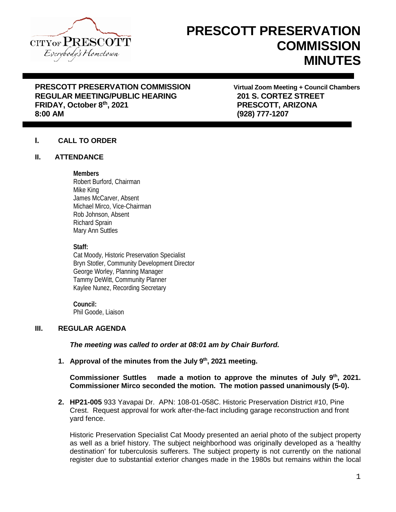

# **PRESCOTT PRESERVATION COMMISSION MINUTES**

# **PRESCOTT PRESERVATION COMMISSION Virtual Zoom Meeting + Council Chambers REGULAR MEETING/PUBLIC HEARING 201 S. CORTEZ STREET FRIDAY, October 8th, 2021 PRESCOTT, ARIZONA**

**8:00 AM (928) 777-1207**

# **I. CALL TO ORDER**

## **II. ATTENDANCE**

## **Members**

Robert Burford, Chairman Mike King James McCarver, Absent Michael Mirco, Vice-Chairman Rob Johnson, Absent Richard Sprain Mary Ann Suttles

**Staff:**

Cat Moody, Historic Preservation Specialist Bryn Stotler, Community Development Director George Worley, Planning Manager Tammy DeWitt, Community Planner Kaylee Nunez, Recording Secretary

#### **Council:** Phil Goode, Liaison

# **III. REGULAR AGENDA**

*The meeting was called to order at 08:01 am by Chair Burford.*

**1. Approval of the minutes from the July 9th, 2021 meeting.**

# **Commissioner Suttles made a motion to approve the minutes of July 9th, 2021. Commissioner Mirco seconded the motion. The motion passed unanimously (5-0).**

**2. HP21-005** 933 Yavapai Dr. APN: 108-01-058C. Historic Preservation District #10, Pine Crest. Request approval for work after-the-fact including garage reconstruction and front yard fence.

Historic Preservation Specialist Cat Moody presented an aerial photo of the subject property as well as a brief history. The subject neighborhood was originally developed as a 'healthy destination' for tuberculosis sufferers. The subject property is not currently on the national register due to substantial exterior changes made in the 1980s but remains within the local